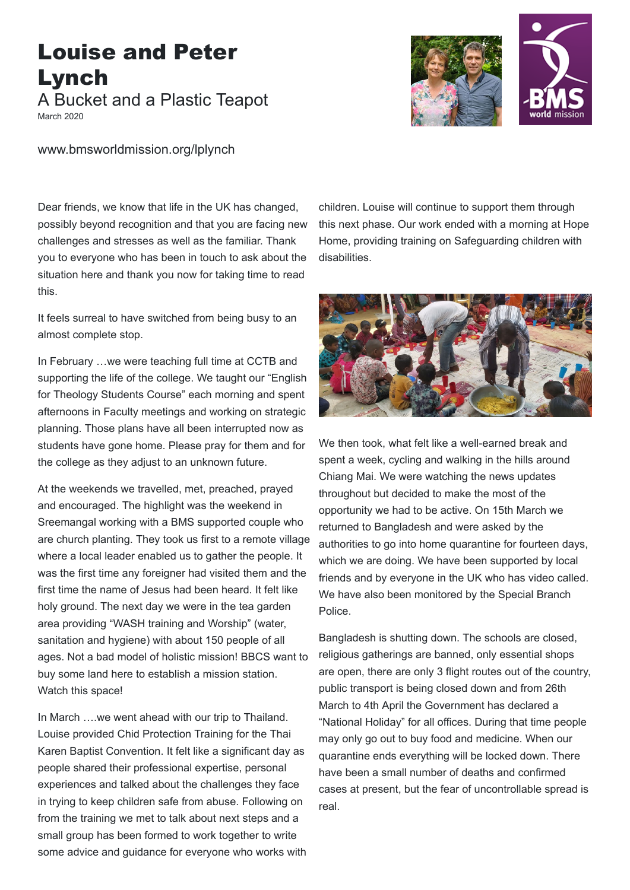## Louise and Peter Lynch A Bucket and a Plastic Teapot

March 2020



www.bmsworldmission.org/lplynch

Dear friends, we know that life in the UK has changed, possibly beyond recognition and that you are facing new challenges and stresses as well as the familiar. Thank you to everyone who has been in touch to ask about the situation here and thank you now for taking time to read this.

It feels surreal to have switched from being busy to an almost complete stop.

In February …we were teaching full time at CCTB and supporting the life of the college. We taught our "English for Theology Students Course" each morning and spent afternoons in Faculty meetings and working on strategic planning. Those plans have all been interrupted now as students have gone home. Please pray for them and for the college as they adjust to an unknown future.

At the weekends we travelled, met, preached, prayed and encouraged. The highlight was the weekend in Sreemangal working with a BMS supported couple who are church planting. They took us first to a remote village where a local leader enabled us to gather the people. It was the first time any foreigner had visited them and the first time the name of Jesus had been heard. It felt like holy ground. The next day we were in the tea garden area providing "WASH training and Worship" (water, sanitation and hygiene) with about 150 people of all ages. Not a bad model of holistic mission! BBCS want to buy some land here to establish a mission station. Watch this space!

In March ….we went ahead with our trip to Thailand. Louise provided Chid Protection Training for the Thai Karen Baptist Convention. It felt like a significant day as people shared their professional expertise, personal experiences and talked about the challenges they face in trying to keep children safe from abuse. Following on from the training we met to talk about next steps and a small group has been formed to work together to write some advice and guidance for everyone who works with

children. Louise will continue to support them through this next phase. Our work ended with a morning at Hope Home, providing training on Safeguarding children with disabilities.



We then took, what felt like a well-earned break and spent a week, cycling and walking in the hills around Chiang Mai. We were watching the news updates throughout but decided to make the most of the opportunity we had to be active. On 15th March we returned to Bangladesh and were asked by the authorities to go into home quarantine for fourteen days, which we are doing. We have been supported by local friends and by everyone in the UK who has video called. We have also been monitored by the Special Branch Police.

Bangladesh is shutting down. The schools are closed, religious gatherings are banned, only essential shops are open, there are only 3 flight routes out of the country, public transport is being closed down and from 26th March to 4th April the Government has declared a "National Holiday" for all offices. During that time people may only go out to buy food and medicine. When our quarantine ends everything will be locked down. There have been a small number of deaths and confirmed cases at present, but the fear of uncontrollable spread is real.